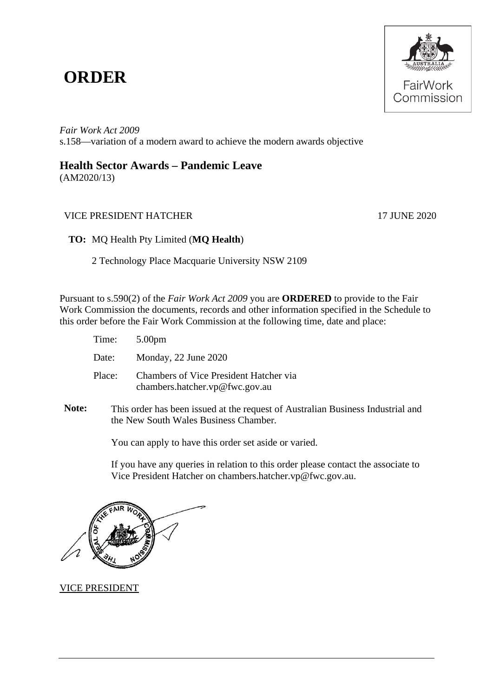## **ORDER**



*Fair Work Act 2009*  s.158—variation of a modern award to achieve the modern awards objective

## **Health Sector Awards – Pandemic Leave**

(AM2020/13)

## VICE PRESIDENT HATCHER 17 JUNE 2020

**TO:** MQ Health Pty Limited (**MQ Health**)

2 Technology Place Macquarie University NSW 2109

Pursuant to s.590(2) of the *Fair Work Act 2009* you are **ORDERED** to provide to the Fair Work Commission the documents, records and other information specified in the Schedule to this order before the Fair Work Commission at the following time, date and place:

| Time:  | 5.00pm                                                                          |
|--------|---------------------------------------------------------------------------------|
| Date:  | Monday, 22 June 2020                                                            |
| Place: | <b>Chambers of Vice President Hatcher via</b><br>chambers.hatcher.vp@fwc.gov.au |

**Note:** This order has been issued at the request of Australian Business Industrial and the New South Wales Business Chamber*.*

You can apply to have this order set aside or varied.

If you have any queries in relation to this order please contact the associate to Vice President Hatcher on chambers.hatcher.vp@fwc.gov.au.

VICE PRESIDENT